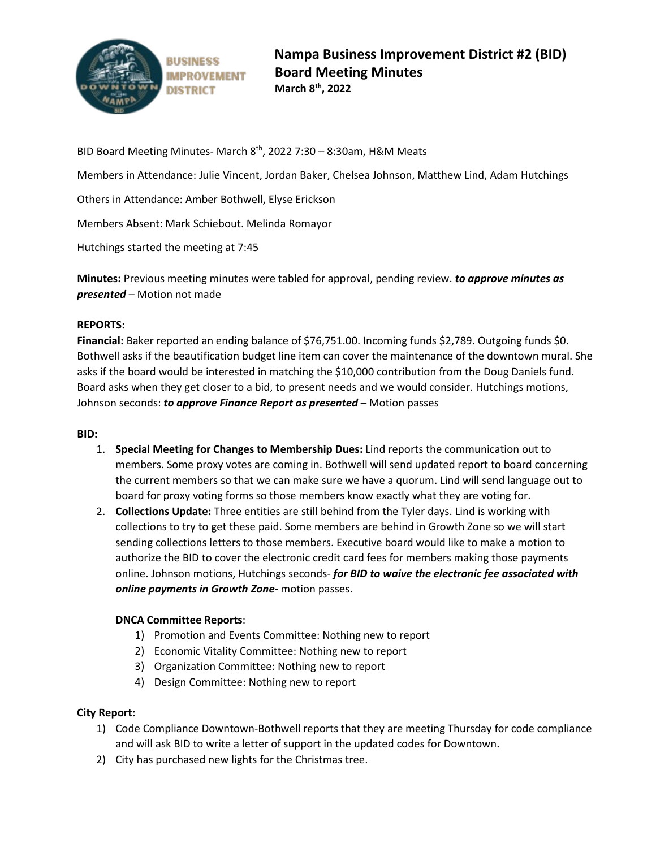

BID Board Meeting Minutes- March  $8<sup>th</sup>$ , 2022 7:30 – 8:30am, H&M Meats

Members in Attendance: Julie Vincent, Jordan Baker, Chelsea Johnson, Matthew Lind, Adam Hutchings

Others in Attendance: Amber Bothwell, Elyse Erickson

Members Absent: Mark Schiebout. Melinda Romayor

Hutchings started the meeting at 7:45

**Minutes:** Previous meeting minutes were tabled for approval, pending review. *to approve minutes as presented* – Motion not made

## **REPORTS:**

**Financial:** Baker reported an ending balance of \$76,751.00. Incoming funds \$2,789. Outgoing funds \$0. Bothwell asks if the beautification budget line item can cover the maintenance of the downtown mural. She asks if the board would be interested in matching the \$10,000 contribution from the Doug Daniels fund. Board asks when they get closer to a bid, to present needs and we would consider. Hutchings motions, Johnson seconds: *to approve Finance Report as presented* – Motion passes

## **BID:**

- 1. **Special Meeting for Changes to Membership Dues:** Lind reports the communication out to members. Some proxy votes are coming in. Bothwell will send updated report to board concerning the current members so that we can make sure we have a quorum. Lind will send language out to board for proxy voting forms so those members know exactly what they are voting for.
- 2. **Collections Update:** Three entities are still behind from the Tyler days. Lind is working with collections to try to get these paid. Some members are behind in Growth Zone so we will start sending collections letters to those members. Executive board would like to make a motion to authorize the BID to cover the electronic credit card fees for members making those payments online. Johnson motions, Hutchings seconds- *for BID to waive the electronic fee associated with online payments in Growth Zone-* motion passes.

## **DNCA Committee Reports**:

- 1) Promotion and Events Committee: Nothing new to report
- 2) Economic Vitality Committee: Nothing new to report
- 3) Organization Committee: Nothing new to report
- 4) Design Committee: Nothing new to report

## **City Report:**

- 1) Code Compliance Downtown-Bothwell reports that they are meeting Thursday for code compliance and will ask BID to write a letter of support in the updated codes for Downtown.
- 2) City has purchased new lights for the Christmas tree.